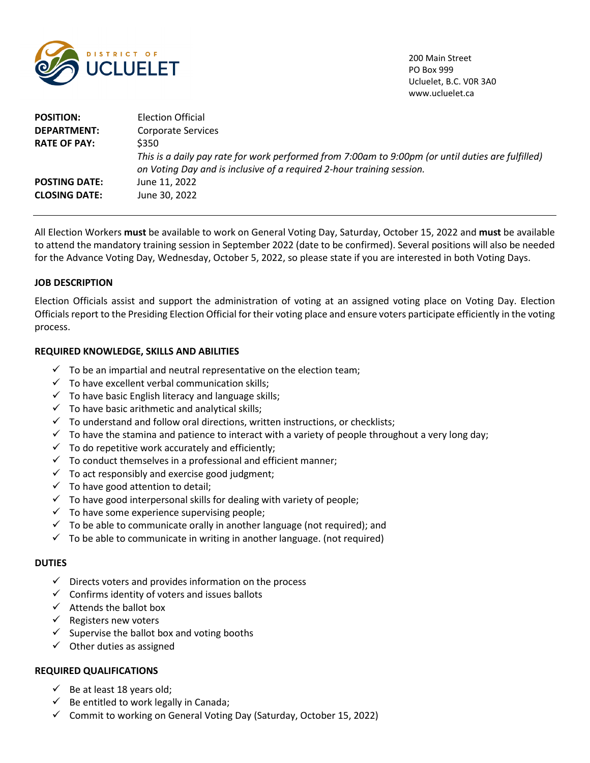

200 Main Street PO Box 999 Ucluelet, B.C. V0R 3A0 www.ucluelet.ca

| <b>POSITION:</b>     | Election Official                                                                                                                                                          |
|----------------------|----------------------------------------------------------------------------------------------------------------------------------------------------------------------------|
| <b>DEPARTMENT:</b>   | Corporate Services                                                                                                                                                         |
| <b>RATE OF PAY:</b>  | \$350                                                                                                                                                                      |
|                      | This is a daily pay rate for work performed from 7:00am to 9:00pm (or until duties are fulfilled)<br>on Voting Day and is inclusive of a required 2-hour training session. |
| <b>POSTING DATE:</b> | June 11, 2022                                                                                                                                                              |
| <b>CLOSING DATE:</b> | June 30, 2022                                                                                                                                                              |

All Election Workers **must** be available to work on General Voting Day, Saturday, October 15, 2022 and **must** be available to attend the mandatory training session in September 2022 (date to be confirmed). Several positions will also be needed for the Advance Voting Day, Wednesday, October 5, 2022, so please state if you are interested in both Voting Days.

# **JOB DESCRIPTION**

Election Officials assist and support the administration of voting at an assigned voting place on Voting Day. Election Officials report to the Presiding Election Official for their voting place and ensure voters participate efficiently in the voting process.

# **REQUIRED KNOWLEDGE, SKILLS AND ABILITIES**

- $\checkmark$  To be an impartial and neutral representative on the election team;
- $\checkmark$  To have excellent verbal communication skills;
- $\checkmark$  To have basic English literacy and language skills;
- $\checkmark$  To have basic arithmetic and analytical skills;
- $\checkmark$  To understand and follow oral directions, written instructions, or checklists;
- $\checkmark$  To have the stamina and patience to interact with a variety of people throughout a very long day;
- $\checkmark$  To do repetitive work accurately and efficiently;
- $\checkmark$  To conduct themselves in a professional and efficient manner;
- $\checkmark$  To act responsibly and exercise good judgment;
- $\checkmark$  To have good attention to detail;
- $\checkmark$  To have good interpersonal skills for dealing with variety of people;
- $\checkmark$  To have some experience supervising people;
- $\checkmark$  To be able to communicate orally in another language (not required); and
- $\checkmark$  To be able to communicate in writing in another language. (not required)

### **DUTIES**

- $\checkmark$  Directs voters and provides information on the process
- $\checkmark$  Confirms identity of voters and issues ballots
- $\checkmark$  Attends the ballot box
- $\checkmark$  Registers new voters
- $\checkmark$  Supervise the ballot box and voting booths
- $\checkmark$  Other duties as assigned

# **REQUIRED QUALIFICATIONS**

- $\checkmark$  Be at least 18 years old;
- $\checkmark$  Be entitled to work legally in Canada;
- $\checkmark$  Commit to working on General Voting Day (Saturday, October 15, 2022)